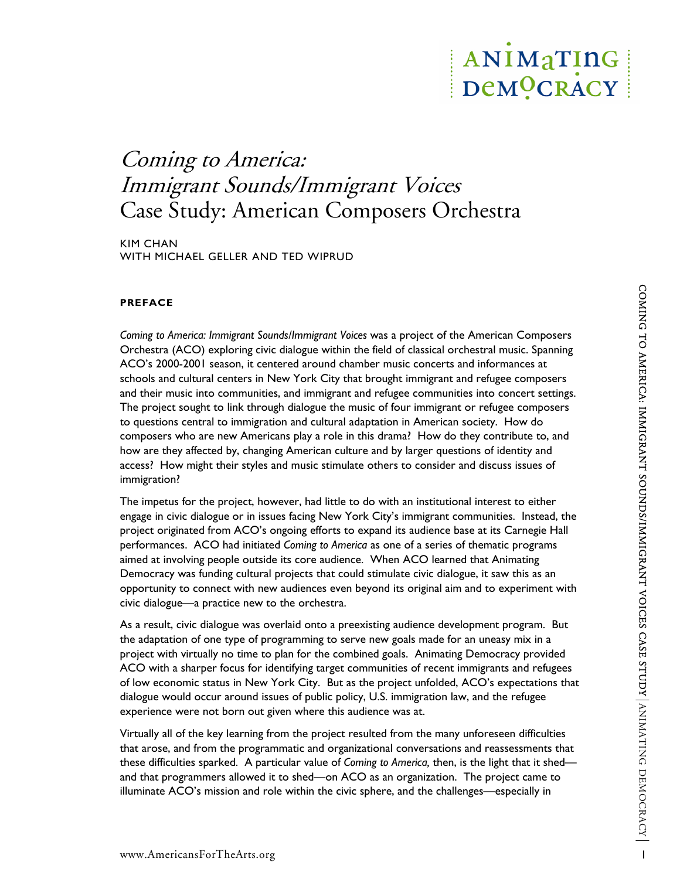# ANIMATING DeMOCRACY

## Coming to America: Immigrant Sounds/Immigrant Voices Case Study: American Composers Orchestra

KIM CHAN WITH MICHAEL GELLER AND TED WIPRUD

## **PREFACE**

*Coming to America: Immigrant Sounds/Immigrant Voices* was a project of the American Composers Orchestra (ACO) exploring civic dialogue within the field of classical orchestral music. Spanning ACO's 2000-2001 season, it centered around chamber music concerts and informances at schools and cultural centers in New York City that brought immigrant and refugee composers and their music into communities, and immigrant and refugee communities into concert settings. The project sought to link through dialogue the music of four immigrant or refugee composers to questions central to immigration and cultural adaptation in American society. How do composers who are new Americans play a role in this drama? How do they contribute to, and how are they affected by, changing American culture and by larger questions of identity and access? How might their styles and music stimulate others to consider and discuss issues of immigration?

The impetus for the project, however, had little to do with an institutional interest to either engage in civic dialogue or in issues facing New York City's immigrant communities. Instead, the project originated from ACO's ongoing efforts to expand its audience base at its Carnegie Hall performances. ACO had initiated *Coming to America* as one of a series of thematic programs aimed at involving people outside its core audience. When ACO learned that Animating Democracy was funding cultural projects that could stimulate civic dialogue, it saw this as an opportunity to connect with new audiences even beyond its original aim and to experiment with civic dialogue—a practice new to the orchestra.

As a result, civic dialogue was overlaid onto a preexisting audience development program. But the adaptation of one type of programming to serve new goals made for an uneasy mix in a project with virtually no time to plan for the combined goals. Animating Democracy provided ACO with a sharper focus for identifying target communities of recent immigrants and refugees of low economic status in New York City. But as the project unfolded, ACO's expectations that dialogue would occur around issues of public policy, U.S. immigration law, and the refugee experience were not born out given where this audience was at.

Virtually all of the key learning from the project resulted from the many unforeseen difficulties that arose, and from the programmatic and organizational conversations and reassessments that these difficulties sparked. A particular value of *Coming to America,* then, is the light that it shed and that programmers allowed it to shed—on ACO as an organization. The project came to illuminate ACO's mission and role within the civic sphere, and the challenges—especially in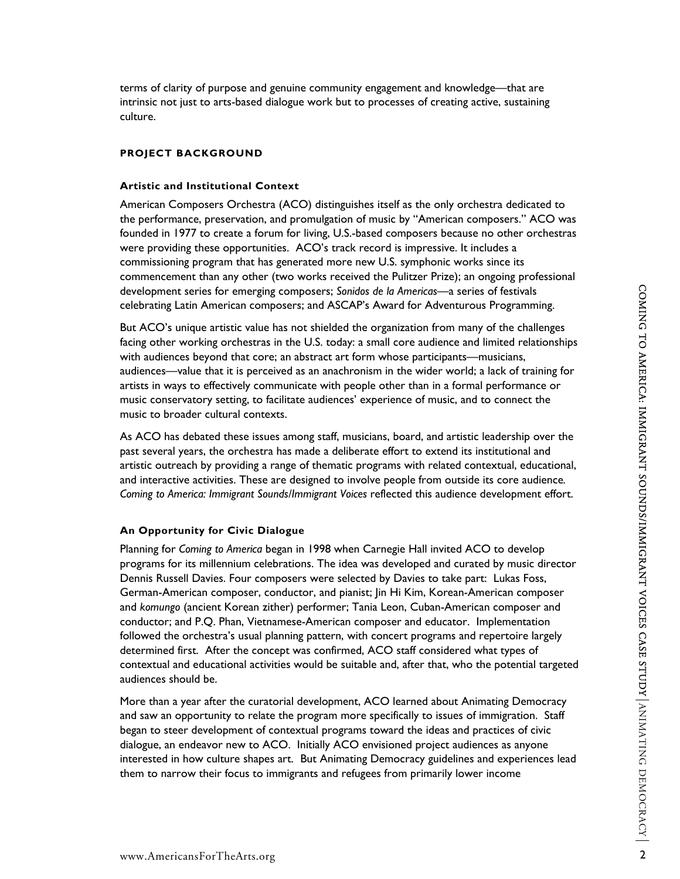#### **PROJECT BACKGROUND**

#### **Artistic and Institutional Context**

American Composers Orchestra (ACO) distinguishes itself as the only orchestra dedicated to the performance, preservation, and promulgation of music by "American composers." ACO was founded in 1977 to create a forum for living, U.S.-based composers because no other orchestras were providing these opportunities. ACO's track record is impressive. It includes a commissioning program that has generated more new U.S. symphonic works since its commencement than any other (two works received the Pulitzer Prize); an ongoing professional development series for emerging composers; *Sonidos de la Americas*—a series of festivals celebrating Latin American composers; and ASCAP's Award for Adventurous Programming.

But ACO's unique artistic value has not shielded the organization from many of the challenges facing other working orchestras in the U.S. today: a small core audience and limited relationships with audiences beyond that core; an abstract art form whose participants—musicians, audiences—value that it is perceived as an anachronism in the wider world; a lack of training for artists in ways to effectively communicate with people other than in a formal performance or music conservatory setting, to facilitate audiences' experience of music, and to connect the music to broader cultural contexts.

As ACO has debated these issues among staff, musicians, board, and artistic leadership over the past several years, the orchestra has made a deliberate effort to extend its institutional and artistic outreach by providing a range of thematic programs with related contextual, educational, and interactive activities. These are designed to involve people from outside its core audience*. Coming to America: Immigrant Sounds/Immigrant Voices* reflected this audience development effort.

## **An Opportunity for Civic Dialogue**

Planning for *Coming to America* began in 1998 when Carnegie Hall invited ACO to develop programs for its millennium celebrations. The idea was developed and curated by music director Dennis Russell Davies. Four composers were selected by Davies to take part: Lukas Foss, German-American composer, conductor, and pianist; Jin Hi Kim, Korean-American composer and *komungo* (ancient Korean zither) performer; Tania Leon, Cuban-American composer and conductor; and P.Q. Phan, Vietnamese-American composer and educator. Implementation followed the orchestra's usual planning pattern, with concert programs and repertoire largely determined first. After the concept was confirmed, ACO staff considered what types of contextual and educational activities would be suitable and, after that, who the potential targeted audiences should be.

More than a year after the curatorial development, ACO learned about Animating Democracy and saw an opportunity to relate the program more specifically to issues of immigration. Staff began to steer development of contextual programs toward the ideas and practices of civic dialogue, an endeavor new to ACO. Initially ACO envisioned project audiences as anyone interested in how culture shapes art. But Animating Democracy guidelines and experiences lead them to narrow their focus to immigrants and refugees from primarily lower income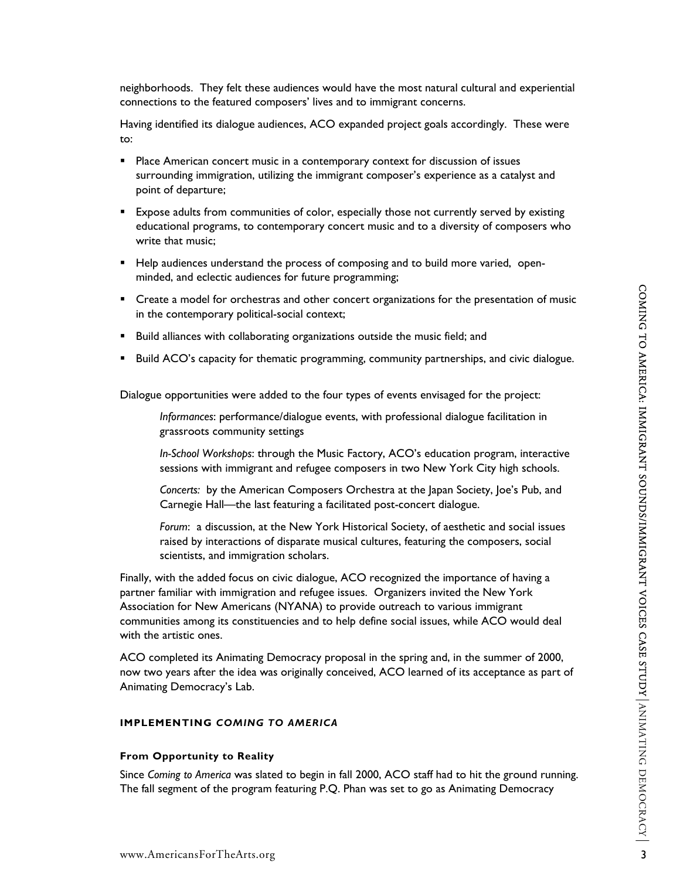neighborhoods. They felt these audiences would have the most natural cultural and experiential connections to the featured composers' lives and to immigrant concerns.

Having identified its dialogue audiences, ACO expanded project goals accordingly. These were to:

- **Place American concert music in a contemporary context for discussion of issues** surrounding immigration, utilizing the immigrant composer's experience as a catalyst and point of departure;
- **Expose adults from communities of color, especially those not currently served by existing** educational programs, to contemporary concert music and to a diversity of composers who write that music;
- Help audiences understand the process of composing and to build more varied, openminded, and eclectic audiences for future programming;
- Create a model for orchestras and other concert organizations for the presentation of music in the contemporary political-social context;
- **Build alliances with collaborating organizations outside the music field; and**
- Build ACO's capacity for thematic programming, community partnerships, and civic dialogue.

Dialogue opportunities were added to the four types of events envisaged for the project:

*Informances*: performance/dialogue events, with professional dialogue facilitation in grassroots community settings

*In-School Workshops*: through the Music Factory, ACO's education program, interactive sessions with immigrant and refugee composers in two New York City high schools.

*Concerts:* by the American Composers Orchestra at the Japan Society, Joe's Pub, and Carnegie Hall—the last featuring a facilitated post-concert dialogue.

*Forum*: a discussion, at the New York Historical Society, of aesthetic and social issues raised by interactions of disparate musical cultures, featuring the composers, social scientists, and immigration scholars.

Finally, with the added focus on civic dialogue, ACO recognized the importance of having a partner familiar with immigration and refugee issues. Organizers invited the New York Association for New Americans (NYANA) to provide outreach to various immigrant communities among its constituencies and to help define social issues, while ACO would deal with the artistic ones.

ACO completed its Animating Democracy proposal in the spring and, in the summer of 2000, now two years after the idea was originally conceived, ACO learned of its acceptance as part of Animating Democracy's Lab.

#### **IMPLEMENTING** *COMING TO AMERICA*

#### **From Opportunity to Reality**

Since *Coming to America* was slated to begin in fall 2000, ACO staff had to hit the ground running. The fall segment of the program featuring P.Q. Phan was set to go as Animating Democracy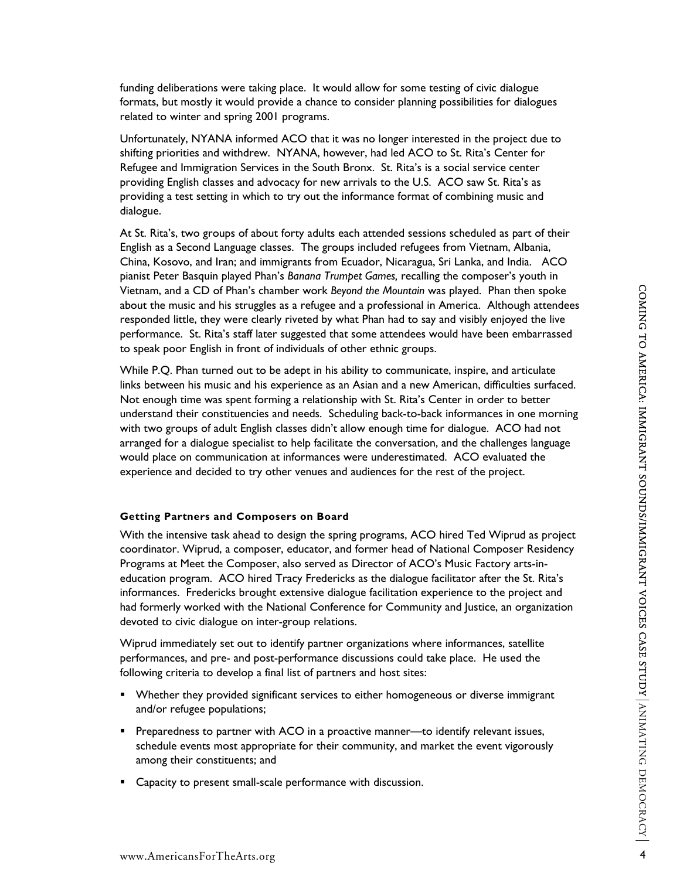funding deliberations were taking place. It would allow for some testing of civic dialogue formats, but mostly it would provide a chance to consider planning possibilities for dialogues related to winter and spring 2001 programs.

Unfortunately, NYANA informed ACO that it was no longer interested in the project due to shifting priorities and withdrew. NYANA, however, had led ACO to St. Rita's Center for Refugee and Immigration Services in the South Bronx. St. Rita's is a social service center providing English classes and advocacy for new arrivals to the U.S. ACO saw St. Rita's as providing a test setting in which to try out the informance format of combining music and dialogue.

At St. Rita's, two groups of about forty adults each attended sessions scheduled as part of their English as a Second Language classes. The groups included refugees from Vietnam, Albania, China, Kosovo, and Iran; and immigrants from Ecuador, Nicaragua, Sri Lanka, and India. ACO pianist Peter Basquin played Phan's *Banana Trumpet Games,* recalling the composer's youth in Vietnam, and a CD of Phan's chamber work *Beyond the Mountain* was played. Phan then spoke about the music and his struggles as a refugee and a professional in America. Although attendees responded little, they were clearly riveted by what Phan had to say and visibly enjoyed the live performance. St. Rita's staff later suggested that some attendees would have been embarrassed to speak poor English in front of individuals of other ethnic groups.

While P.Q. Phan turned out to be adept in his ability to communicate, inspire, and articulate links between his music and his experience as an Asian and a new American, difficulties surfaced. Not enough time was spent forming a relationship with St. Rita's Center in order to better understand their constituencies and needs. Scheduling back-to-back informances in one morning with two groups of adult English classes didn't allow enough time for dialogue. ACO had not arranged for a dialogue specialist to help facilitate the conversation, and the challenges language would place on communication at informances were underestimated. ACO evaluated the experience and decided to try other venues and audiences for the rest of the project.

#### **Getting Partners and Composers on Board**

With the intensive task ahead to design the spring programs, ACO hired Ted Wiprud as project coordinator. Wiprud, a composer, educator, and former head of National Composer Residency Programs at Meet the Composer, also served as Director of ACO's Music Factory arts-ineducation program. ACO hired Tracy Fredericks as the dialogue facilitator after the St. Rita's informances. Fredericks brought extensive dialogue facilitation experience to the project and had formerly worked with the National Conference for Community and Justice, an organization devoted to civic dialogue on inter-group relations.

Wiprud immediately set out to identify partner organizations where informances, satellite performances, and pre- and post-performance discussions could take place. He used the following criteria to develop a final list of partners and host sites:

- **•** Whether they provided significant services to either homogeneous or diverse immigrant and/or refugee populations;
- **Preparedness to partner with ACO in a proactive manner—to identify relevant issues,** schedule events most appropriate for their community, and market the event vigorously among their constituents; and
- **Capacity to present small-scale performance with discussion.**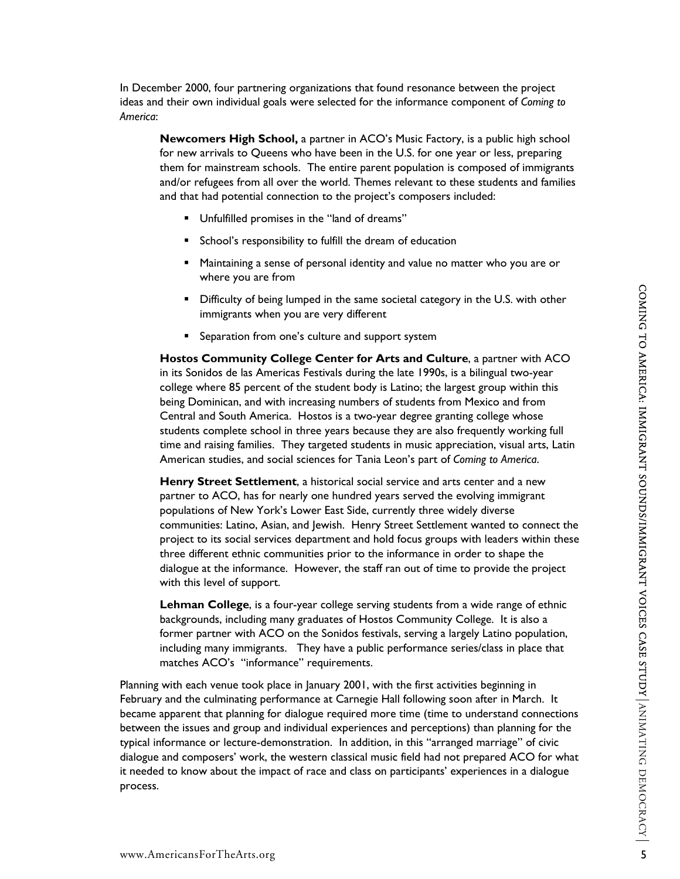In December 2000, four partnering organizations that found resonance between the project ideas and their own individual goals were selected for the informance component of *Coming to America*:

**Newcomers High School,** a partner in ACO's Music Factory, is a public high school for new arrivals to Queens who have been in the U.S. for one year or less, preparing them for mainstream schools. The entire parent population is composed of immigrants and/or refugees from all over the world. Themes relevant to these students and families and that had potential connection to the project's composers included:

- Unfulfilled promises in the "land of dreams"
- **School's responsibility to fulfill the dream of education**
- Maintaining a sense of personal identity and value no matter who you are or where you are from
- **•** Difficulty of being lumped in the same societal category in the U.S. with other immigrants when you are very different
- **EXECT** Separation from one's culture and support system

**Hostos Community College Center for Arts and Culture**, a partner with ACO in its Sonidos de las Americas Festivals during the late 1990s, is a bilingual two-year college where 85 percent of the student body is Latino; the largest group within this being Dominican, and with increasing numbers of students from Mexico and from Central and South America. Hostos is a two-year degree granting college whose students complete school in three years because they are also frequently working full time and raising families. They targeted students in music appreciation, visual arts, Latin American studies, and social sciences for Tania Leon's part of *Coming to America*.

**Henry Street Settlement**, a historical social service and arts center and a new partner to ACO, has for nearly one hundred years served the evolving immigrant populations of New York's Lower East Side, currently three widely diverse communities: Latino, Asian, and Jewish. Henry Street Settlement wanted to connect the project to its social services department and hold focus groups with leaders within these three different ethnic communities prior to the informance in order to shape the dialogue at the informance. However, the staff ran out of time to provide the project with this level of support.

**Lehman College**, is a four-year college serving students from a wide range of ethnic backgrounds, including many graduates of Hostos Community College. It is also a former partner with ACO on the Sonidos festivals, serving a largely Latino population, including many immigrants. They have a public performance series/class in place that matches ACO's "informance" requirements.

Planning with each venue took place in January 2001, with the first activities beginning in February and the culminating performance at Carnegie Hall following soon after in March. It became apparent that planning for dialogue required more time (time to understand connections between the issues and group and individual experiences and perceptions) than planning for the typical informance or lecture-demonstration. In addition, in this "arranged marriage" of civic dialogue and composers' work, the western classical music field had not prepared ACO for what it needed to know about the impact of race and class on participants' experiences in a dialogue process.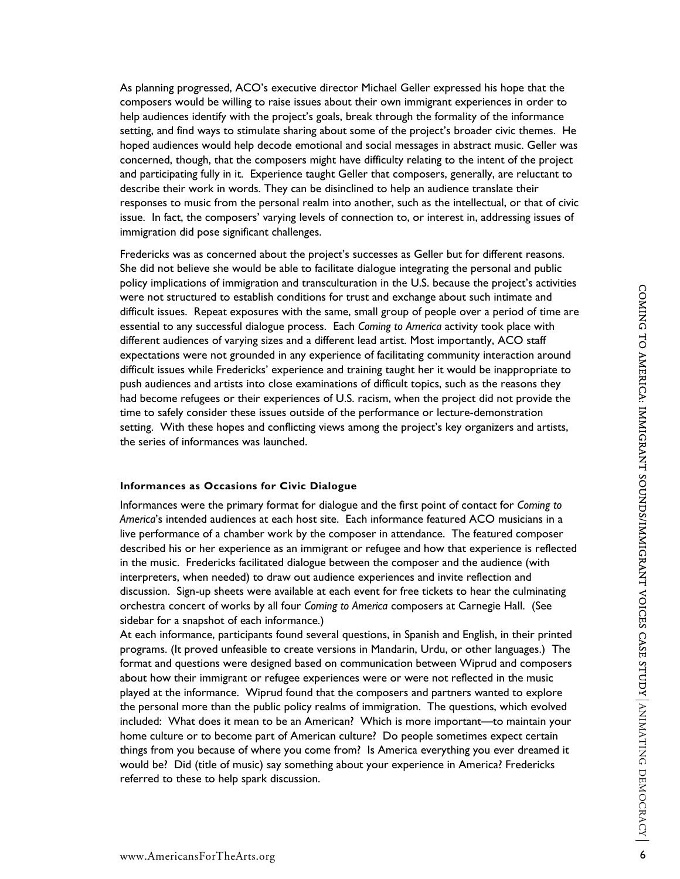As planning progressed, ACO's executive director Michael Geller expressed his hope that the composers would be willing to raise issues about their own immigrant experiences in order to help audiences identify with the project's goals, break through the formality of the informance setting, and find ways to stimulate sharing about some of the project's broader civic themes. He hoped audiences would help decode emotional and social messages in abstract music. Geller was concerned, though, that the composers might have difficulty relating to the intent of the project and participating fully in it. Experience taught Geller that composers, generally, are reluctant to describe their work in words. They can be disinclined to help an audience translate their responses to music from the personal realm into another, such as the intellectual, or that of civic issue. In fact, the composers' varying levels of connection to, or interest in, addressing issues of immigration did pose significant challenges.

Fredericks was as concerned about the project's successes as Geller but for different reasons. She did not believe she would be able to facilitate dialogue integrating the personal and public policy implications of immigration and transculturation in the U.S. because the project's activities were not structured to establish conditions for trust and exchange about such intimate and difficult issues. Repeat exposures with the same, small group of people over a period of time are essential to any successful dialogue process. Each *Coming to America* activity took place with different audiences of varying sizes and a different lead artist. Most importantly, ACO staff expectations were not grounded in any experience of facilitating community interaction around difficult issues while Fredericks' experience and training taught her it would be inappropriate to push audiences and artists into close examinations of difficult topics, such as the reasons they had become refugees or their experiences of U.S. racism, when the project did not provide the time to safely consider these issues outside of the performance or lecture-demonstration setting. With these hopes and conflicting views among the project's key organizers and artists, the series of informances was launched.

#### **Informances as Occasions for Civic Dialogue**

Informances were the primary format for dialogue and the first point of contact for *Coming to America*'s intended audiences at each host site. Each informance featured ACO musicians in a live performance of a chamber work by the composer in attendance. The featured composer described his or her experience as an immigrant or refugee and how that experience is reflected in the music. Fredericks facilitated dialogue between the composer and the audience (with interpreters, when needed) to draw out audience experiences and invite reflection and discussion. Sign-up sheets were available at each event for free tickets to hear the culminating orchestra concert of works by all four *Coming to America* composers at Carnegie Hall. (See sidebar for a snapshot of each informance.)

At each informance, participants found several questions, in Spanish and English, in their printed programs. (It proved unfeasible to create versions in Mandarin, Urdu, or other languages.) The format and questions were designed based on communication between Wiprud and composers about how their immigrant or refugee experiences were or were not reflected in the music played at the informance. Wiprud found that the composers and partners wanted to explore the personal more than the public policy realms of immigration. The questions, which evolved included: What does it mean to be an American? Which is more important—to maintain your home culture or to become part of American culture? Do people sometimes expect certain things from you because of where you come from? Is America everything you ever dreamed it would be? Did (title of music) say something about your experience in America? Fredericks referred to these to help spark discussion.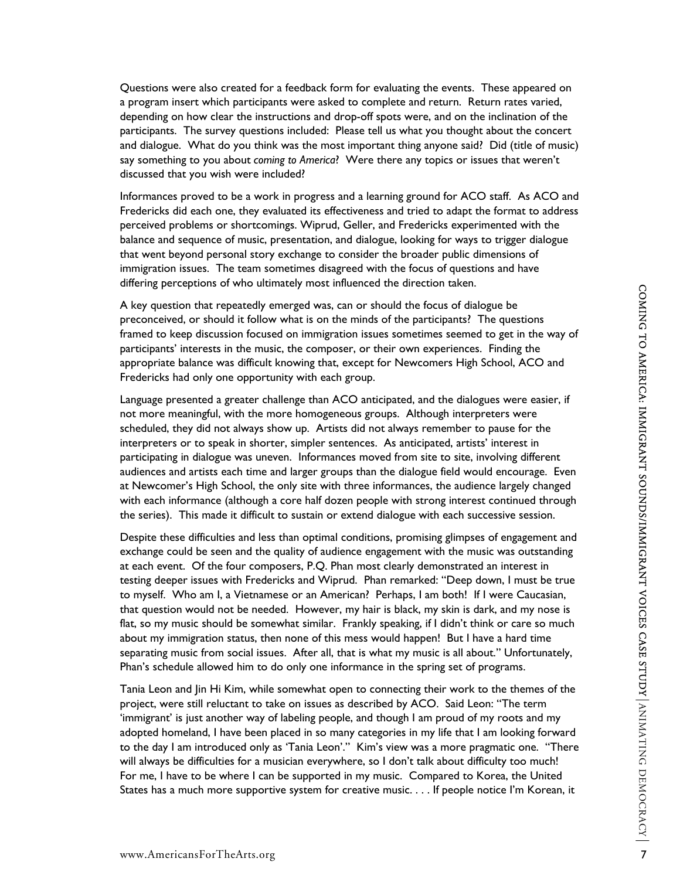Questions were also created for a feedback form for evaluating the events. These appeared on a program insert which participants were asked to complete and return. Return rates varied, depending on how clear the instructions and drop-off spots were, and on the inclination of the participants. The survey questions included: Please tell us what you thought about the concert and dialogue. What do you think was the most important thing anyone said? Did (title of music) say something to you about *coming to America*? Were there any topics or issues that weren't discussed that you wish were included?

Informances proved to be a work in progress and a learning ground for ACO staff. As ACO and Fredericks did each one, they evaluated its effectiveness and tried to adapt the format to address perceived problems or shortcomings. Wiprud, Geller, and Fredericks experimented with the balance and sequence of music, presentation, and dialogue, looking for ways to trigger dialogue that went beyond personal story exchange to consider the broader public dimensions of immigration issues. The team sometimes disagreed with the focus of questions and have differing perceptions of who ultimately most influenced the direction taken.

A key question that repeatedly emerged was, can or should the focus of dialogue be preconceived, or should it follow what is on the minds of the participants? The questions framed to keep discussion focused on immigration issues sometimes seemed to get in the way of participants' interests in the music, the composer, or their own experiences. Finding the appropriate balance was difficult knowing that, except for Newcomers High School, ACO and Fredericks had only one opportunity with each group.

Language presented a greater challenge than ACO anticipated, and the dialogues were easier, if not more meaningful, with the more homogeneous groups. Although interpreters were scheduled, they did not always show up. Artists did not always remember to pause for the interpreters or to speak in shorter, simpler sentences. As anticipated, artists' interest in participating in dialogue was uneven. Informances moved from site to site, involving different audiences and artists each time and larger groups than the dialogue field would encourage. Even at Newcomer's High School, the only site with three informances, the audience largely changed with each informance (although a core half dozen people with strong interest continued through the series). This made it difficult to sustain or extend dialogue with each successive session.

Despite these difficulties and less than optimal conditions, promising glimpses of engagement and exchange could be seen and the quality of audience engagement with the music was outstanding at each event. Of the four composers, P.Q. Phan most clearly demonstrated an interest in testing deeper issues with Fredericks and Wiprud. Phan remarked: "Deep down, I must be true to myself. Who am I, a Vietnamese or an American? Perhaps, I am both! If I were Caucasian, that question would not be needed. However, my hair is black, my skin is dark, and my nose is flat, so my music should be somewhat similar. Frankly speaking, if I didn't think or care so much about my immigration status, then none of this mess would happen! But I have a hard time separating music from social issues. After all, that is what my music is all about." Unfortunately, Phan's schedule allowed him to do only one informance in the spring set of programs.

Tania Leon and Jin Hi Kim, while somewhat open to connecting their work to the themes of the project, were still reluctant to take on issues as described by ACO. Said Leon: "The term 'immigrant' is just another way of labeling people, and though I am proud of my roots and my adopted homeland, I have been placed in so many categories in my life that I am looking forward to the day I am introduced only as 'Tania Leon'." Kim's view was a more pragmatic one. "There will always be difficulties for a musician everywhere, so I don't talk about difficulty too much! For me, I have to be where I can be supported in my music. Compared to Korea, the United States has a much more supportive system for creative music. . . . If people notice I'm Korean, it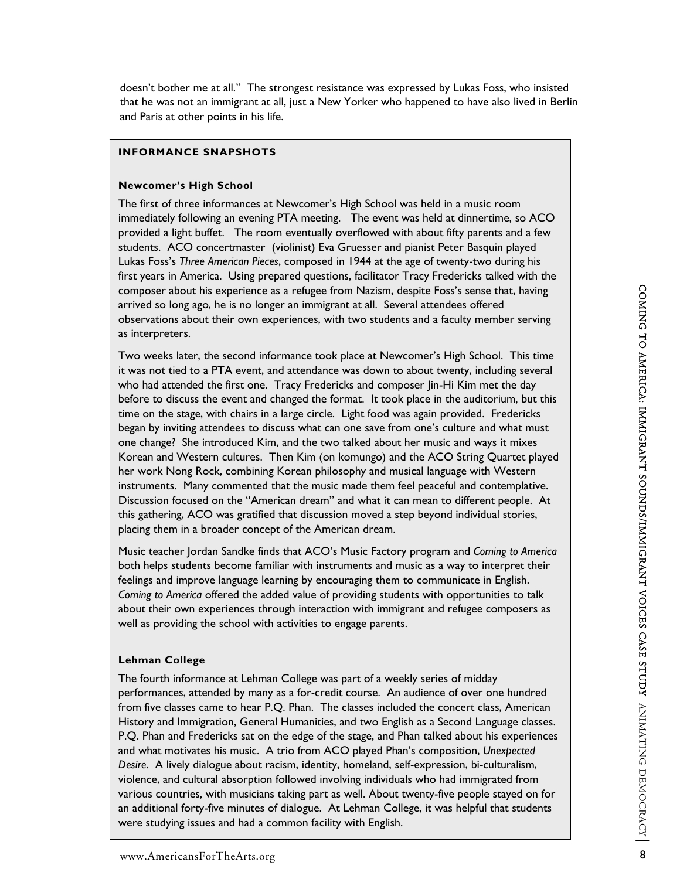## **INFORMANCE SNAPSHOTS**

## **Newcomer's High School**

The first of three informances at Newcomer's High School was held in a music room immediately following an evening PTA meeting. The event was held at dinnertime, so ACO provided a light buffet. The room eventually overflowed with about fifty parents and a few students. ACO concertmaster (violinist) Eva Gruesser and pianist Peter Basquin played Lukas Foss's *Three American Pieces*, composed in 1944 at the age of twenty-two during his first years in America. Using prepared questions, facilitator Tracy Fredericks talked with the composer about his experience as a refugee from Nazism, despite Foss's sense that, having arrived so long ago, he is no longer an immigrant at all. Several attendees offered observations about their own experiences, with two students and a faculty member serving as interpreters.

Two weeks later, the second informance took place at Newcomer's High School. This time it was not tied to a PTA event, and attendance was down to about twenty, including several who had attended the first one. Tracy Fredericks and composer Jin-Hi Kim met the day before to discuss the event and changed the format. It took place in the auditorium, but this time on the stage, with chairs in a large circle. Light food was again provided. Fredericks began by inviting attendees to discuss what can one save from one's culture and what must one change? She introduced Kim, and the two talked about her music and ways it mixes Korean and Western cultures. Then Kim (on komungo) and the ACO String Quartet played her work Nong Rock, combining Korean philosophy and musical language with Western instruments. Many commented that the music made them feel peaceful and contemplative. Discussion focused on the "American dream" and what it can mean to different people. At this gathering, ACO was gratified that discussion moved a step beyond individual stories, placing them in a broader concept of the American dream.

Music teacher Jordan Sandke finds that ACO's Music Factory program and *Coming to America* both helps students become familiar with instruments and music as a way to interpret their feelings and improve language learning by encouraging them to communicate in English. *Coming to America* offered the added value of providing students with opportunities to talk about their own experiences through interaction with immigrant and refugee composers as well as providing the school with activities to engage parents.

## **Lehman College**

an additional forty-five minutes of dialogue. At Lehman College, it was helpful that students<br>were studying issues and had a common facility with English.<br>www.AmericansForTheArts.org 8 The fourth informance at Lehman College was part of a weekly series of midday performances, attended by many as a for-credit course. An audience of over one hundred from five classes came to hear P.Q. Phan. The classes included the concert class, American History and Immigration, General Humanities, and two English as a Second Language classes. P.Q. Phan and Fredericks sat on the edge of the stage, and Phan talked about his experiences and what motivates his music. A trio from ACO played Phan's composition, *Unexpected Desire*. A lively dialogue about racism, identity, homeland, self-expression, bi-culturalism, violence, and cultural absorption followed involving individuals who had immigrated from various countries, with musicians taking part as well. About twenty-five people stayed on for were studying issues and had a common facility with English.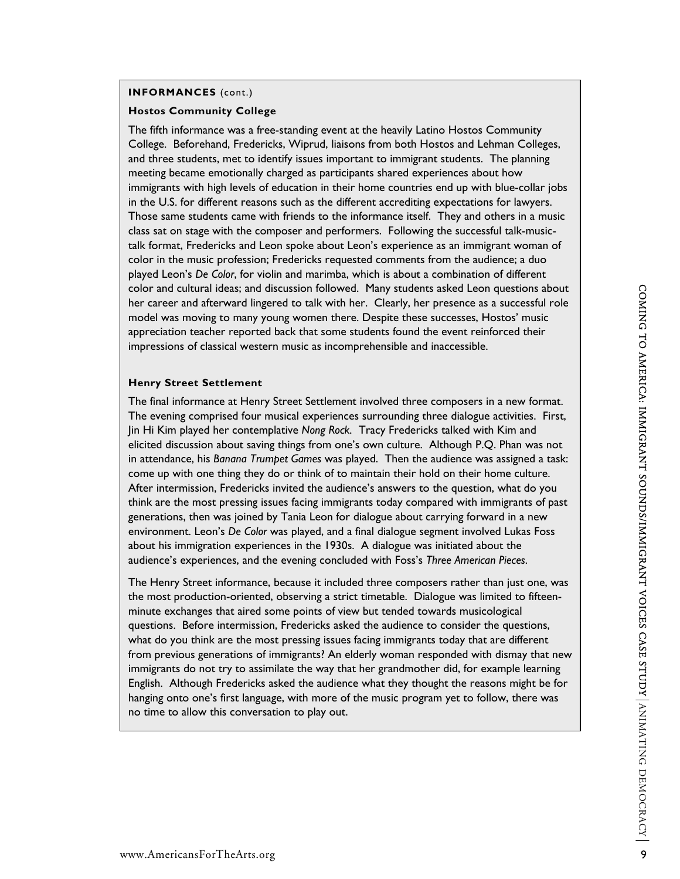## **INFORMANCES** (cont.)

#### **Hostos Community College**

The fifth informance was a free-standing event at the heavily Latino Hostos Community College. Beforehand, Fredericks, Wiprud, liaisons from both Hostos and Lehman Colleges, and three students, met to identify issues important to immigrant students. The planning meeting became emotionally charged as participants shared experiences about how immigrants with high levels of education in their home countries end up with blue-collar jobs in the U.S. for different reasons such as the different accrediting expectations for lawyers. Those same students came with friends to the informance itself. They and others in a music class sat on stage with the composer and performers. Following the successful talk-musictalk format, Fredericks and Leon spoke about Leon's experience as an immigrant woman of color in the music profession; Fredericks requested comments from the audience; a duo played Leon's *De Color*, for violin and marimba, which is about a combination of different color and cultural ideas; and discussion followed. Many students asked Leon questions about her career and afterward lingered to talk with her. Clearly, her presence as a successful role model was moving to many young women there. Despite these successes, Hostos' music appreciation teacher reported back that some students found the event reinforced their impressions of classical western music as incomprehensible and inaccessible.

#### **Henry Street Settlement**

The final informance at Henry Street Settlement involved three composers in a new format. The evening comprised four musical experiences surrounding three dialogue activities. First, Jin Hi Kim played her contemplative *Nong Rock.* Tracy Fredericks talked with Kim and elicited discussion about saving things from one's own culture. Although P.Q. Phan was not in attendance, his *Banana Trumpet Games* was played. Then the audience was assigned a task: come up with one thing they do or think of to maintain their hold on their home culture. After intermission, Fredericks invited the audience's answers to the question, what do you think are the most pressing issues facing immigrants today compared with immigrants of past generations, then was joined by Tania Leon for dialogue about carrying forward in a new environment. Leon's *De Color* was played, and a final dialogue segment involved Lukas Foss about his immigration experiences in the 1930s. A dialogue was initiated about the audience's experiences, and the evening concluded with Foss's *Three American Pieces*.

The Henry Street informance, because it included three composers rather than just one, was the most production-oriented, observing a strict timetable. Dialogue was limited to fifteenminute exchanges that aired some points of view but tended towards musicological questions. Before intermission, Fredericks asked the audience to consider the questions, what do you think are the most pressing issues facing immigrants today that are different from previous generations of immigrants? An elderly woman responded with dismay that new immigrants do not try to assimilate the way that her grandmother did, for example learning English. Although Fredericks asked the audience what they thought the reasons might be for hanging onto one's first language, with more of the music program yet to follow, there was no time to allow this conversation to play out.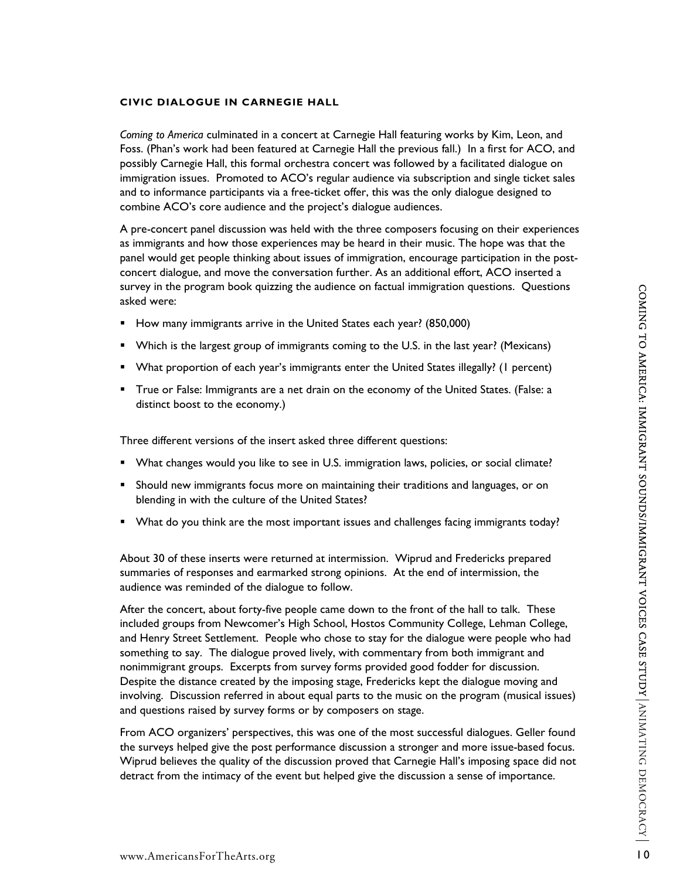#### **CIVIC DIALOGUE IN CARNEGIE HALL**

*Coming to America* culminated in a concert at Carnegie Hall featuring works by Kim, Leon, and Foss. (Phan's work had been featured at Carnegie Hall the previous fall.) In a first for ACO, and possibly Carnegie Hall, this formal orchestra concert was followed by a facilitated dialogue on immigration issues. Promoted to ACO's regular audience via subscription and single ticket sales and to informance participants via a free-ticket offer, this was the only dialogue designed to combine ACO's core audience and the project's dialogue audiences.

A pre-concert panel discussion was held with the three composers focusing on their experiences as immigrants and how those experiences may be heard in their music. The hope was that the panel would get people thinking about issues of immigration, encourage participation in the postconcert dialogue, and move the conversation further. As an additional effort, ACO inserted a survey in the program book quizzing the audience on factual immigration questions. Questions asked were:

- How many immigrants arrive in the United States each year? (850,000)
- Which is the largest group of immigrants coming to the U.S. in the last year? (Mexicans)
- What proportion of each year's immigrants enter the United States illegally? (1 percent)
- True or False: Immigrants are a net drain on the economy of the United States. (False: a distinct boost to the economy.)

Three different versions of the insert asked three different questions:

- What changes would you like to see in U.S. immigration laws, policies, or social climate?
- **Should new immigrants focus more on maintaining their traditions and languages, or on** blending in with the culture of the United States?
- **What do you think are the most important issues and challenges facing immigrants today?**

About 30 of these inserts were returned at intermission. Wiprud and Fredericks prepared summaries of responses and earmarked strong opinions. At the end of intermission, the audience was reminded of the dialogue to follow.

After the concert, about forty-five people came down to the front of the hall to talk. These included groups from Newcomer's High School, Hostos Community College, Lehman College, and Henry Street Settlement. People who chose to stay for the dialogue were people who had something to say. The dialogue proved lively, with commentary from both immigrant and nonimmigrant groups. Excerpts from survey forms provided good fodder for discussion. Despite the distance created by the imposing stage, Fredericks kept the dialogue moving and involving. Discussion referred in about equal parts to the music on the program (musical issues) and questions raised by survey forms or by composers on stage.

From ACO organizers' perspectives, this was one of the most successful dialogues. Geller found the surveys helped give the post performance discussion a stronger and more issue-based focus. Wiprud believes the quality of the discussion proved that Carnegie Hall's imposing space did not detract from the intimacy of the event but helped give the discussion a sense of importance.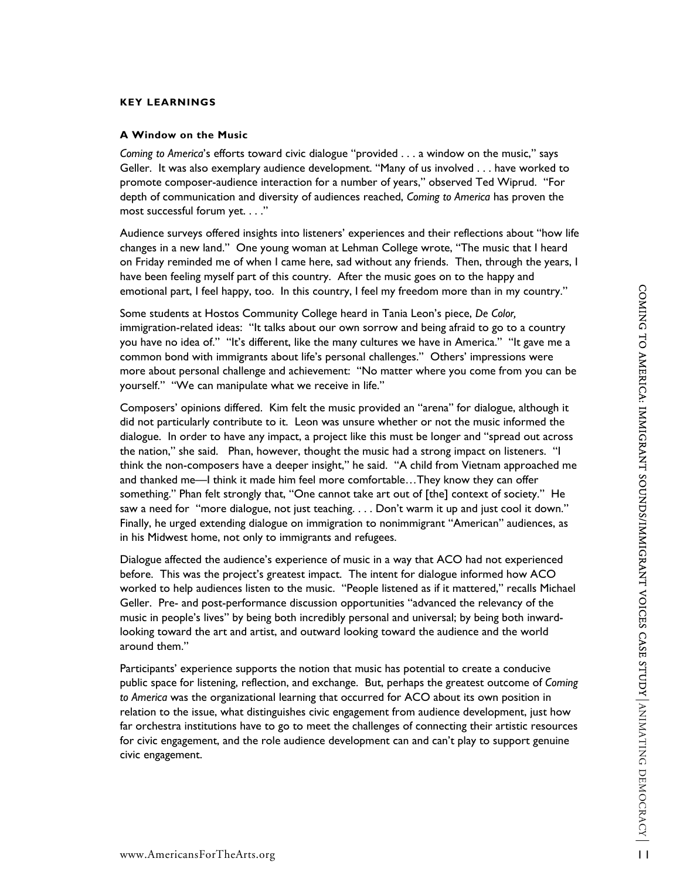#### **KEY LEARNINGS**

#### **A Window on the Music**

*Coming to America*'s efforts toward civic dialogue "provided . . . a window on the music," says Geller. It was also exemplary audience development. "Many of us involved . . . have worked to promote composer-audience interaction for a number of years," observed Ted Wiprud. "For depth of communication and diversity of audiences reached, *Coming to America* has proven the most successful forum yet. . . ."

Audience surveys offered insights into listeners' experiences and their reflections about "how life changes in a new land." One young woman at Lehman College wrote, "The music that I heard on Friday reminded me of when I came here, sad without any friends. Then, through the years, I have been feeling myself part of this country. After the music goes on to the happy and emotional part, I feel happy, too. In this country, I feel my freedom more than in my country."

Some students at Hostos Community College heard in Tania Leon's piece, *De Color,* immigration-related ideas: "It talks about our own sorrow and being afraid to go to a country you have no idea of." "It's different, like the many cultures we have in America." "It gave me a common bond with immigrants about life's personal challenges." Others' impressions were more about personal challenge and achievement: "No matter where you come from you can be yourself." "We can manipulate what we receive in life."

Composers' opinions differed. Kim felt the music provided an "arena" for dialogue, although it did not particularly contribute to it. Leon was unsure whether or not the music informed the dialogue. In order to have any impact, a project like this must be longer and "spread out across the nation," she said. Phan, however, thought the music had a strong impact on listeners. "I think the non-composers have a deeper insight," he said. "A child from Vietnam approached me and thanked me—I think it made him feel more comfortable…They know they can offer something." Phan felt strongly that, "One cannot take art out of [the] context of society." He saw a need for "more dialogue, not just teaching. . . . Don't warm it up and just cool it down." Finally, he urged extending dialogue on immigration to nonimmigrant "American" audiences, as in his Midwest home, not only to immigrants and refugees.

Dialogue affected the audience's experience of music in a way that ACO had not experienced before. This was the project's greatest impact. The intent for dialogue informed how ACO worked to help audiences listen to the music. "People listened as if it mattered," recalls Michael Geller. Pre- and post-performance discussion opportunities "advanced the relevancy of the music in people's lives" by being both incredibly personal and universal; by being both inwardlooking toward the art and artist, and outward looking toward the audience and the world around them."

Participants' experience supports the notion that music has potential to create a conducive public space for listening, reflection, and exchange. But, perhaps the greatest outcome of *Coming to America* was the organizational learning that occurred for ACO about its own position in relation to the issue, what distinguishes civic engagement from audience development, just how far orchestra institutions have to go to meet the challenges of connecting their artistic resources for civic engagement, and the role audience development can and can't play to support genuine civic engagement.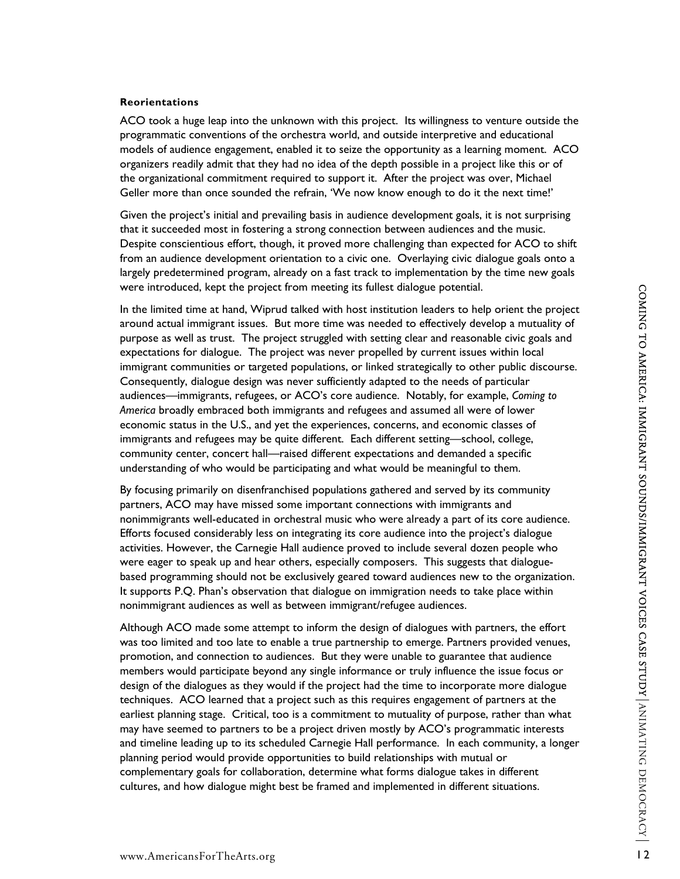#### **Reorientations**

ACO took a huge leap into the unknown with this project. Its willingness to venture outside the programmatic conventions of the orchestra world, and outside interpretive and educational models of audience engagement, enabled it to seize the opportunity as a learning moment. ACO organizers readily admit that they had no idea of the depth possible in a project like this or of the organizational commitment required to support it. After the project was over, Michael Geller more than once sounded the refrain, 'We now know enough to do it the next time!'

Given the project's initial and prevailing basis in audience development goals, it is not surprising that it succeeded most in fostering a strong connection between audiences and the music. Despite conscientious effort, though, it proved more challenging than expected for ACO to shift from an audience development orientation to a civic one. Overlaying civic dialogue goals onto a largely predetermined program, already on a fast track to implementation by the time new goals were introduced, kept the project from meeting its fullest dialogue potential.

In the limited time at hand, Wiprud talked with host institution leaders to help orient the project around actual immigrant issues. But more time was needed to effectively develop a mutuality of purpose as well as trust. The project struggled with setting clear and reasonable civic goals and expectations for dialogue. The project was never propelled by current issues within local immigrant communities or targeted populations, or linked strategically to other public discourse. Consequently, dialogue design was never sufficiently adapted to the needs of particular audiences—immigrants, refugees, or ACO's core audience. Notably, for example, *Coming to America* broadly embraced both immigrants and refugees and assumed all were of lower economic status in the U.S., and yet the experiences, concerns, and economic classes of immigrants and refugees may be quite different. Each different setting—school, college, community center, concert hall—raised different expectations and demanded a specific understanding of who would be participating and what would be meaningful to them.

By focusing primarily on disenfranchised populations gathered and served by its community partners, ACO may have missed some important connections with immigrants and nonimmigrants well-educated in orchestral music who were already a part of its core audience. Efforts focused considerably less on integrating its core audience into the project's dialogue activities. However, the Carnegie Hall audience proved to include several dozen people who were eager to speak up and hear others, especially composers. This suggests that dialoguebased programming should not be exclusively geared toward audiences new to the organization. It supports P.Q. Phan's observation that dialogue on immigration needs to take place within nonimmigrant audiences as well as between immigrant/refugee audiences.

Although ACO made some attempt to inform the design of dialogues with partners, the effort was too limited and too late to enable a true partnership to emerge. Partners provided venues, promotion, and connection to audiences. But they were unable to guarantee that audience members would participate beyond any single informance or truly influence the issue focus or design of the dialogues as they would if the project had the time to incorporate more dialogue techniques. ACO learned that a project such as this requires engagement of partners at the earliest planning stage. Critical, too is a commitment to mutuality of purpose, rather than what may have seemed to partners to be a project driven mostly by ACO's programmatic interests and timeline leading up to its scheduled Carnegie Hall performance. In each community, a longer planning period would provide opportunities to build relationships with mutual or complementary goals for collaboration, determine what forms dialogue takes in different cultures, and how dialogue might best be framed and implemented in different situations.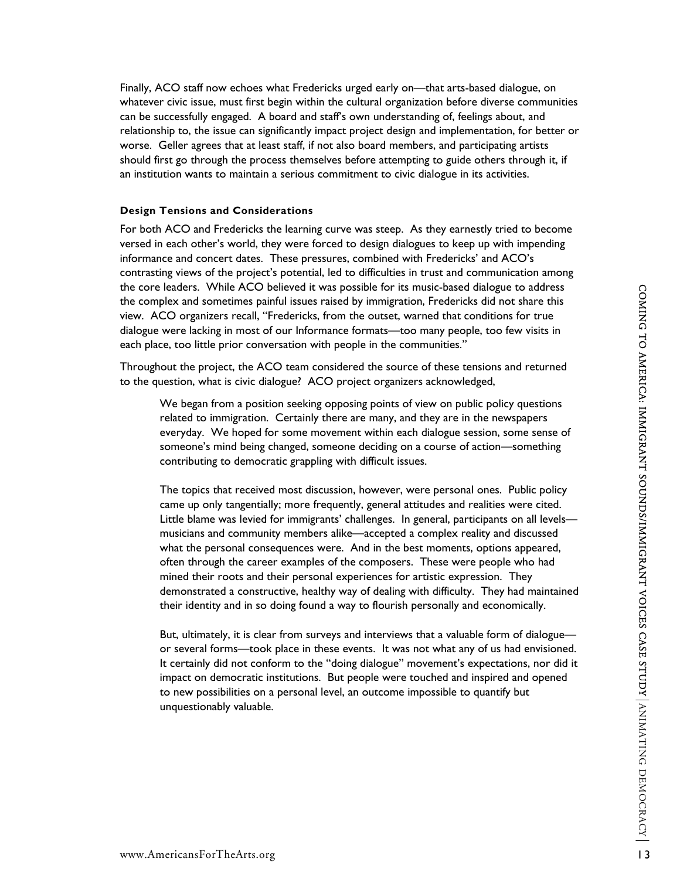Finally, ACO staff now echoes what Fredericks urged early on—that arts-based dialogue, on whatever civic issue, must first begin within the cultural organization before diverse communities can be successfully engaged. A board and staff's own understanding of, feelings about, and relationship to, the issue can significantly impact project design and implementation, for better or worse. Geller agrees that at least staff, if not also board members, and participating artists should first go through the process themselves before attempting to guide others through it, if an institution wants to maintain a serious commitment to civic dialogue in its activities.

#### **Design Tensions and Considerations**

For both ACO and Fredericks the learning curve was steep. As they earnestly tried to become versed in each other's world, they were forced to design dialogues to keep up with impending informance and concert dates. These pressures, combined with Fredericks' and ACO's contrasting views of the project's potential, led to difficulties in trust and communication among the core leaders. While ACO believed it was possible for its music-based dialogue to address the complex and sometimes painful issues raised by immigration, Fredericks did not share this view. ACO organizers recall, "Fredericks, from the outset, warned that conditions for true dialogue were lacking in most of our Informance formats—too many people, too few visits in each place, too little prior conversation with people in the communities."

Throughout the project, the ACO team considered the source of these tensions and returned to the question, what is civic dialogue? ACO project organizers acknowledged,

We began from a position seeking opposing points of view on public policy questions related to immigration. Certainly there are many, and they are in the newspapers everyday. We hoped for some movement within each dialogue session, some sense of someone's mind being changed, someone deciding on a course of action—something contributing to democratic grappling with difficult issues.

The topics that received most discussion, however, were personal ones. Public policy came up only tangentially; more frequently, general attitudes and realities were cited. Little blame was levied for immigrants' challenges. In general, participants on all levels musicians and community members alike—accepted a complex reality and discussed what the personal consequences were. And in the best moments, options appeared, often through the career examples of the composers. These were people who had mined their roots and their personal experiences for artistic expression. They demonstrated a constructive, healthy way of dealing with difficulty. They had maintained their identity and in so doing found a way to flourish personally and economically.

But, ultimately, it is clear from surveys and interviews that a valuable form of dialogue or several forms—took place in these events. It was not what any of us had envisioned. It certainly did not conform to the "doing dialogue" movement's expectations, nor did it impact on democratic institutions. But people were touched and inspired and opened to new possibilities on a personal level, an outcome impossible to quantify but unquestionably valuable.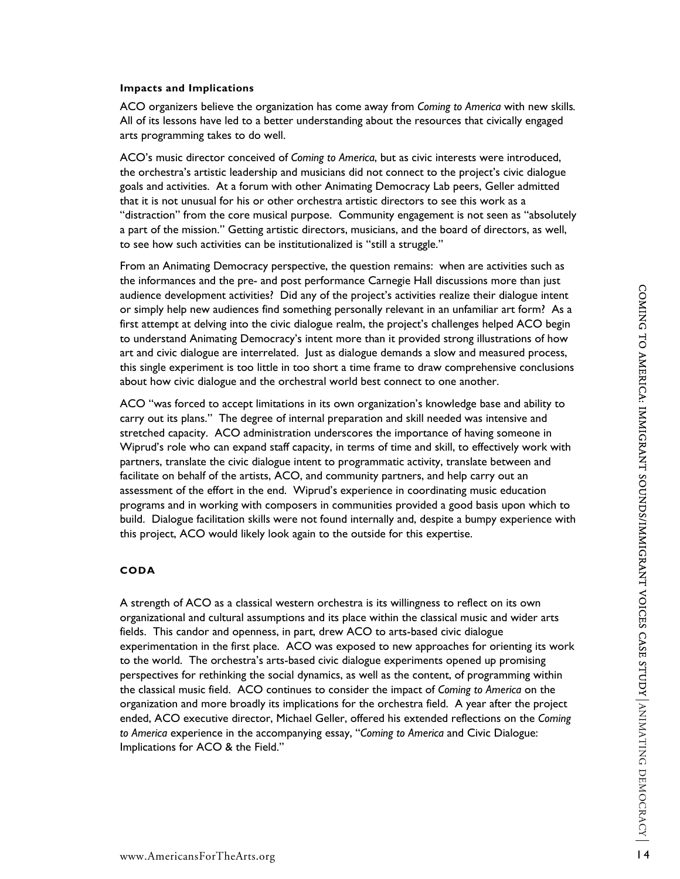#### **Impacts and Implications**

ACO organizers believe the organization has come away from *Coming to America* with new skills*.*  All of its lessons have led to a better understanding about the resources that civically engaged arts programming takes to do well.

ACO's music director conceived of *Coming to America*, but as civic interests were introduced, the orchestra's artistic leadership and musicians did not connect to the project's civic dialogue goals and activities. At a forum with other Animating Democracy Lab peers, Geller admitted that it is not unusual for his or other orchestra artistic directors to see this work as a "distraction" from the core musical purpose. Community engagement is not seen as "absolutely a part of the mission." Getting artistic directors, musicians, and the board of directors, as well, to see how such activities can be institutionalized is "still a struggle."

From an Animating Democracy perspective, the question remains: when are activities such as the informances and the pre- and post performance Carnegie Hall discussions more than just audience development activities? Did any of the project's activities realize their dialogue intent or simply help new audiences find something personally relevant in an unfamiliar art form? As a first attempt at delving into the civic dialogue realm, the project's challenges helped ACO begin to understand Animating Democracy's intent more than it provided strong illustrations of how art and civic dialogue are interrelated. Just as dialogue demands a slow and measured process, this single experiment is too little in too short a time frame to draw comprehensive conclusions about how civic dialogue and the orchestral world best connect to one another.

ACO "was forced to accept limitations in its own organization's knowledge base and ability to carry out its plans." The degree of internal preparation and skill needed was intensive and stretched capacity. ACO administration underscores the importance of having someone in Wiprud's role who can expand staff capacity, in terms of time and skill, to effectively work with partners, translate the civic dialogue intent to programmatic activity, translate between and facilitate on behalf of the artists, ACO, and community partners, and help carry out an assessment of the effort in the end. Wiprud's experience in coordinating music education programs and in working with composers in communities provided a good basis upon which to build. Dialogue facilitation skills were not found internally and, despite a bumpy experience with this project, ACO would likely look again to the outside for this expertise.

## **CODA**

A strength of ACO as a classical western orchestra is its willingness to reflect on its own organizational and cultural assumptions and its place within the classical music and wider arts fields. This candor and openness, in part, drew ACO to arts-based civic dialogue experimentation in the first place. ACO was exposed to new approaches for orienting its work to the world. The orchestra's arts-based civic dialogue experiments opened up promising perspectives for rethinking the social dynamics, as well as the content, of programming within the classical music field. ACO continues to consider the impact of *Coming to America* on the organization and more broadly its implications for the orchestra field. A year after the project ended, ACO executive director, Michael Geller, offered his extended reflections on the *Coming to America* experience in the accompanying essay, "*Coming to America* and Civic Dialogue: Implications for ACO & the Field."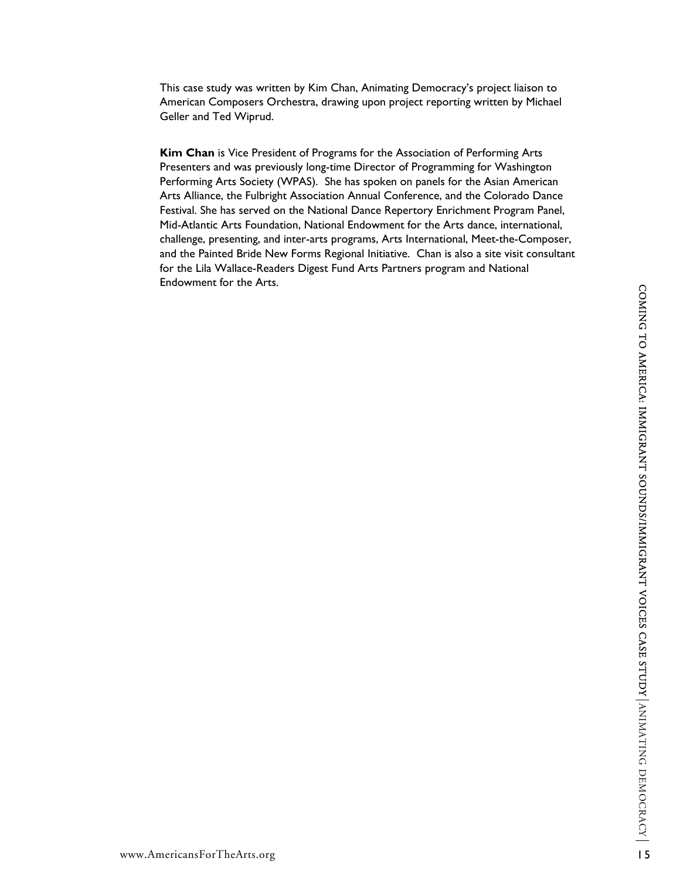This case study was written by Kim Chan, Animating Democracy's project liaison to American Composers Orchestra, drawing upon project reporting written by Michael Geller and Ted Wiprud.

**Kim Chan** is Vice President of Programs for the Association of Performing Arts Presenters and was previously long-time Director of Programming for Washington Performing Arts Society (WPAS). She has spoken on panels for the Asian American Arts Alliance, the Fulbright Association Annual Conference, and the Colorado Dance Festival. She has served on the National Dance Repertory Enrichment Program Panel, Mid-Atlantic Arts Foundation, National Endowment for the Arts dance, international, challenge, presenting, and inter-arts programs, Arts International, Meet-the-Composer, and the Painted Bride New Forms Regional Initiative. Chan is also a site visit consultant for the Lila Wallace-Readers Digest Fund Arts Partners program and National Endowment for the Arts.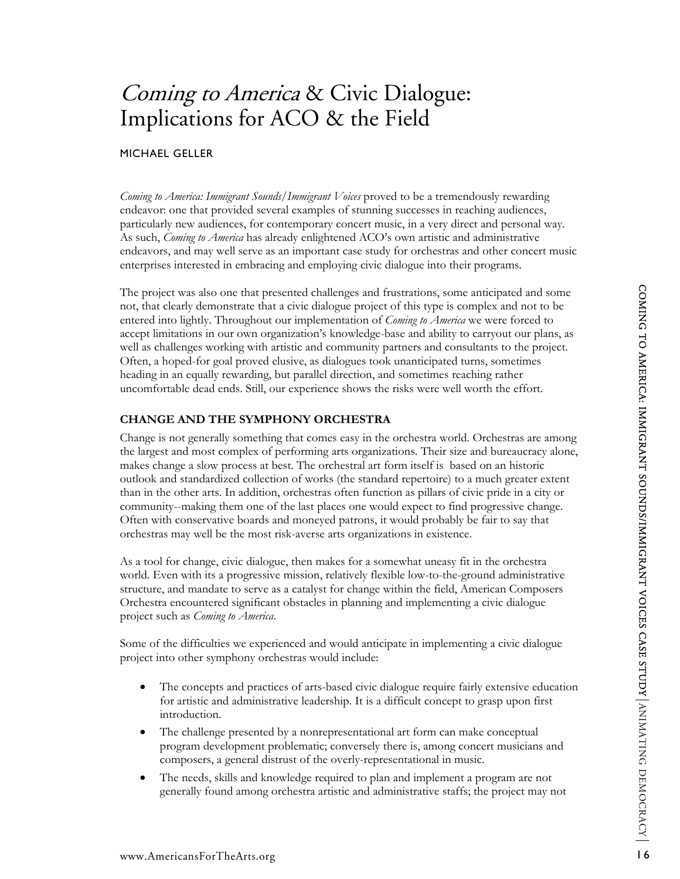## Coming to America & Civic Dialogue: Implications for ACO & the Field

## MICHAEL GELLER

*Coming to America: Immigrant Sounds/Immigrant Voices* proved to be a tremendously rewarding endeavor: one that provided several examples of stunning successes in reaching audiences, particularly new audiences, for contemporary concert music, in a very direct and personal way. As such, *Coming to America* has already enlightened ACO's own artistic and administrative endeavors, and may well serve as an important case study for orchestras and other concert music enterprises interested in embracing and employing civic dialogue into their programs.

The project was also one that presented challenges and frustrations, some anticipated and some not, that clearly demonstrate that a civic dialogue project of this type is complex and not to be entered into lightly. Throughout our implementation of *Coming to America* we were forced to accept limitations in our own organization's knowledge-base and ability to carryout our plans, as well as challenges working with artistic and community partners and consultants to the project. Often, a hoped-for goal proved elusive, as dialogues took unanticipated turns, sometimes heading in an equally rewarding, but parallel direction, and sometimes reaching rather uncomfortable dead ends. Still, our experience shows the risks were well worth the effort.

## **CHANGE AND THE SYMPHONY ORCHESTRA**

Change is not generally something that comes easy in the orchestra world. Orchestras are among the largest and most complex of performing arts organizations. Their size and bureaucracy alone, makes change a slow process at best. The orchestral art form itself is based on an historic outlook and standardized collection of works (the standard repertoire) to a much greater extent than in the other arts. In addition, orchestras often function as pillars of civic pride in a city or community--making them one of the last places one would expect to find progressive change. Often with conservative boards and moneyed patrons, it would probably be fair to say that orchestras may well be the most risk-averse arts organizations in existence.

As a tool for change, civic dialogue, then makes for a somewhat uneasy fit in the orchestra world. Even with its a progressive mission, relatively flexible low-to-the-ground administrative structure, and mandate to serve as a catalyst for change within the field, American Composers Orchestra encountered significant obstacles in planning and implementing a civic dialogue project such as *Coming to America*.

Some of the difficulties we experienced and would anticipate in implementing a civic dialogue project into other symphony orchestras would include:

- The concepts and practices of arts-based civic dialogue require fairly extensive education for artistic and administrative leadership. It is a difficult concept to grasp upon first introduction.
- The challenge presented by a nonrepresentational art form can make conceptual program development problematic; conversely there is, among concert musicians and composers, a general distrust of the overly-representational in music.
- The needs, skills and knowledge required to plan and implement a program are not generally found among orchestra artistic and administrative staffs; the project may not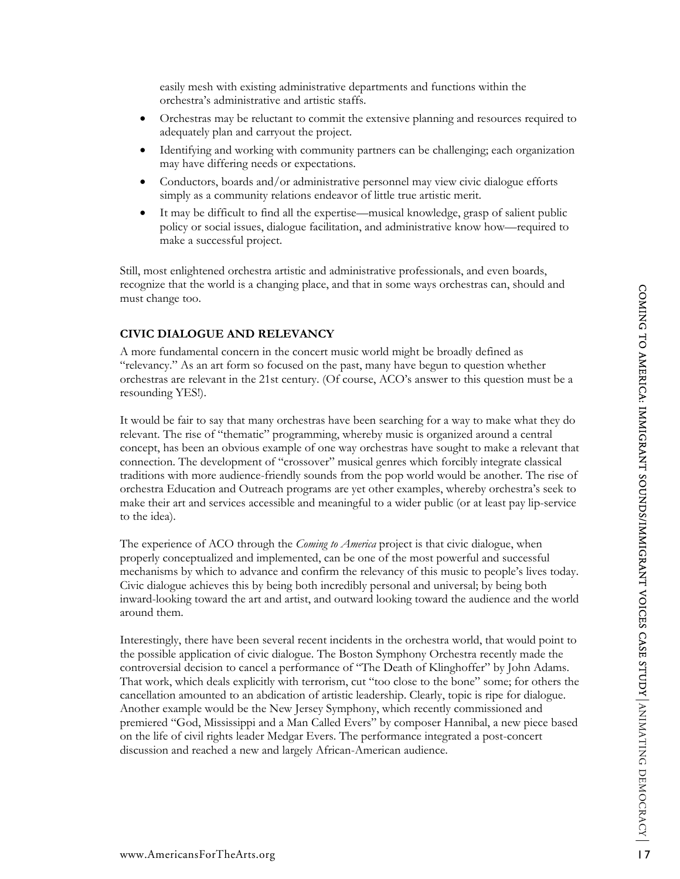easily mesh with existing administrative departments and functions within the orchestra's administrative and artistic staffs.

- Orchestras may be reluctant to commit the extensive planning and resources required to adequately plan and carryout the project.
- Identifying and working with community partners can be challenging; each organization may have differing needs or expectations.
- Conductors, boards and/or administrative personnel may view civic dialogue efforts simply as a community relations endeavor of little true artistic merit.
- It may be difficult to find all the expertise—musical knowledge, grasp of salient public policy or social issues, dialogue facilitation, and administrative know how—required to make a successful project.

Still, most enlightened orchestra artistic and administrative professionals, and even boards, recognize that the world is a changing place, and that in some ways orchestras can, should and must change too.

## **CIVIC DIALOGUE AND RELEVANCY**

A more fundamental concern in the concert music world might be broadly defined as "relevancy." As an art form so focused on the past, many have begun to question whether orchestras are relevant in the 21st century. (Of course, ACO's answer to this question must be a resounding YES!).

It would be fair to say that many orchestras have been searching for a way to make what they do relevant. The rise of "thematic" programming, whereby music is organized around a central concept, has been an obvious example of one way orchestras have sought to make a relevant that connection. The development of "crossover" musical genres which forcibly integrate classical traditions with more audience-friendly sounds from the pop world would be another. The rise of orchestra Education and Outreach programs are yet other examples, whereby orchestra's seek to make their art and services accessible and meaningful to a wider public (or at least pay lip-service to the idea).

The experience of ACO through the *Coming to America* project is that civic dialogue, when properly conceptualized and implemented, can be one of the most powerful and successful mechanisms by which to advance and confirm the relevancy of this music to people's lives today. Civic dialogue achieves this by being both incredibly personal and universal; by being both inward-looking toward the art and artist, and outward looking toward the audience and the world around them.

Interestingly, there have been several recent incidents in the orchestra world, that would point to the possible application of civic dialogue. The Boston Symphony Orchestra recently made the controversial decision to cancel a performance of "The Death of Klinghoffer" by John Adams. That work, which deals explicitly with terrorism, cut "too close to the bone" some; for others the cancellation amounted to an abdication of artistic leadership. Clearly, topic is ripe for dialogue. Another example would be the New Jersey Symphony, which recently commissioned and premiered "God, Mississippi and a Man Called Evers" by composer Hannibal, a new piece based on the life of civil rights leader Medgar Evers. The performance integrated a post-concert discussion and reached a new and largely African-American audience.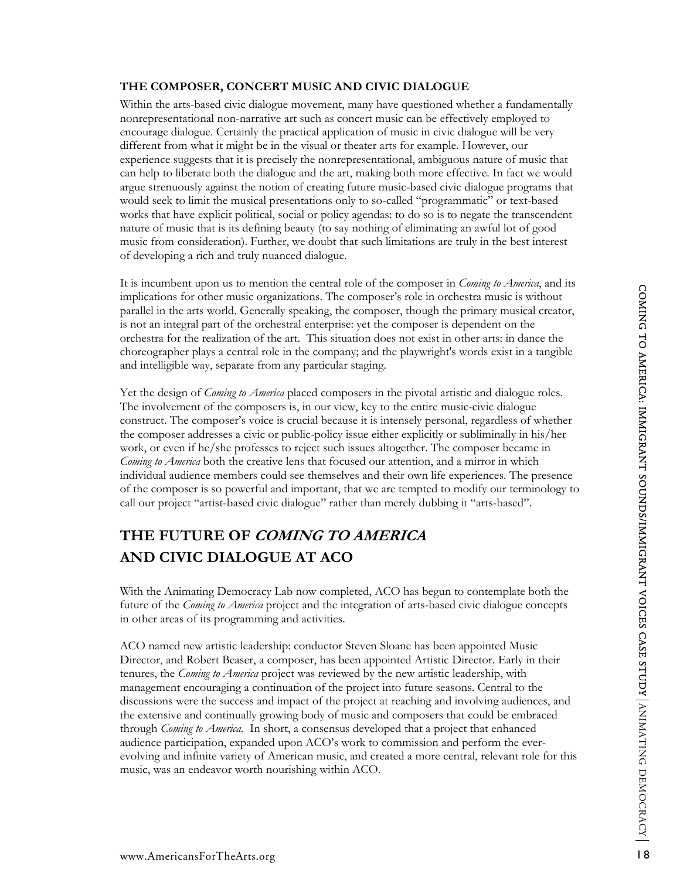## **THE COMPOSER, CONCERT MUSIC AND CIVIC DIALOGUE**

Within the arts-based civic dialogue movement, many have questioned whether a fundamentally nonrepresentational non-narrative art such as concert music can be effectively employed to encourage dialogue. Certainly the practical application of music in civic dialogue will be very different from what it might be in the visual or theater arts for example. However, our experience suggests that it is precisely the nonrepresentational, ambiguous nature of music that can help to liberate both the dialogue and the art, making both more effective. In fact we would argue strenuously against the notion of creating future music-based civic dialogue programs that would seek to limit the musical presentations only to so-called "programmatic" or text-based works that have explicit political, social or policy agendas: to do so is to negate the transcendent nature of music that is its defining beauty (to say nothing of eliminating an awful lot of good music from consideration). Further, we doubt that such limitations are truly in the best interest of developing a rich and truly nuanced dialogue.

It is incumbent upon us to mention the central role of the composer in *Coming to America*, and its implications for other music organizations. The composer's role in orchestra music is without parallel in the arts world. Generally speaking, the composer, though the primary musical creator, is not an integral part of the orchestral enterprise: yet the composer is dependent on the orchestra for the realization of the art. This situation does not exist in other arts: in dance the choreographer plays a central role in the company; and the playwright's words exist in a tangible and intelligible way, separate from any particular staging.

Yet the design of *Coming to America* placed composers in the pivotal artistic and dialogue roles. The involvement of the composers is, in our view, key to the entire music-civic dialogue construct. The composer's voice is crucial because it is intensely personal, regardless of whether the composer addresses a civic or public-policy issue either explicitly or subliminally in his/her work, or even if he/she professes to reject such issues altogether. The composer became in *Coming to America* both the creative lens that focused our attention, and a mirror in which individual audience members could see themselves and their own life experiences. The presence of the composer is so powerful and important, that we are tempted to modify our terminology to call our project "artist-based civic dialogue" rather than merely dubbing it "arts-based".

## **THE FUTURE OF COMING TO AMERICA AND CIVIC DIALOGUE AT ACO**

With the Animating Democracy Lab now completed, ACO has begun to contemplate both the future of the *Coming to America* project and the integration of arts-based civic dialogue concepts in other areas of its programming and activities.

ACO named new artistic leadership: conductor Steven Sloane has been appointed Music Director, and Robert Beaser, a composer, has been appointed Artistic Director. Early in their tenures, the *Coming to America* project was reviewed by the new artistic leadership, with management encouraging a continuation of the project into future seasons. Central to the discussions were the success and impact of the project at reaching and involving audiences, and the extensive and continually growing body of music and composers that could be embraced through *Coming to America.* In short, a consensus developed that a project that enhanced audience participation, expanded upon ACO's work to commission and perform the everevolving and infinite variety of American music, and created a more central, relevant role for this music, was an endeavor worth nourishing within ACO.